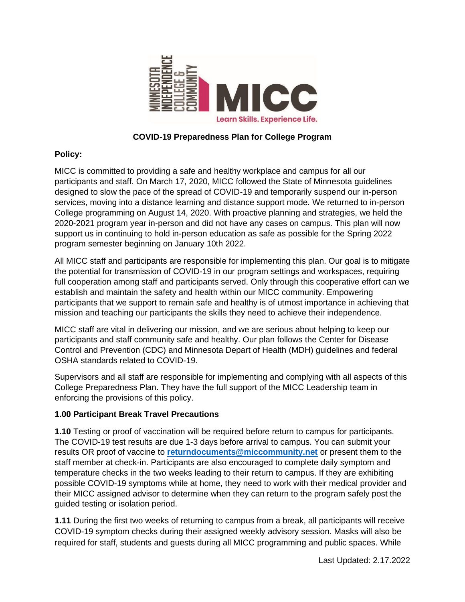

## **COVID-19 Preparedness Plan for College Program**

## **Policy:**

MICC is committed to providing a safe and healthy workplace and campus for all our participants and staff. On March 17, 2020, MICC followed the State of Minnesota guidelines designed to slow the pace of the spread of COVID-19 and temporarily suspend our in-person services, moving into a distance learning and distance support mode. We returned to in-person College programming on August 14, 2020. With proactive planning and strategies, we held the 2020-2021 program year in-person and did not have any cases on campus. This plan will now support us in continuing to hold in-person education as safe as possible for the Spring 2022 program semester beginning on January 10th 2022.

All MICC staff and participants are responsible for implementing this plan. Our goal is to mitigate the potential for transmission of COVID-19 in our program settings and workspaces, requiring full cooperation among staff and participants served. Only through this cooperative effort can we establish and maintain the safety and health within our MICC community. Empowering participants that we support to remain safe and healthy is of utmost importance in achieving that mission and teaching our participants the skills they need to achieve their independence.

MICC staff are vital in delivering our mission, and we are serious about helping to keep our participants and staff community safe and healthy. Our plan follows the Center for Disease Control and Prevention (CDC) and Minnesota Depart of Health (MDH) guidelines and federal OSHA standards related to COVID-19.

Supervisors and all staff are responsible for implementing and complying with all aspects of this College Preparedness Plan. They have the full support of the MICC Leadership team in enforcing the provisions of this policy.

### **1.00 Participant Break Travel Precautions**

**1.10** Testing or proof of vaccination will be required before return to campus for participants. The COVID-19 test results are due 1-3 days before arrival to campus. You can submit your results OR proof of vaccine to **[returndocuments@miccommunity.net](mailto:returndocuments@miccommunity.net)** or present them to the staff member at check-in. Participants are also encouraged to complete daily symptom and temperature checks in the two weeks leading to their return to campus. If they are exhibiting possible COVID-19 symptoms while at home, they need to work with their medical provider and their MICC assigned advisor to determine when they can return to the program safely post the guided testing or isolation period.

**1.11** During the first two weeks of returning to campus from a break, all participants will receive COVID-19 symptom checks during their assigned weekly advisory session. Masks will also be required for staff, students and guests during all MICC programming and public spaces. While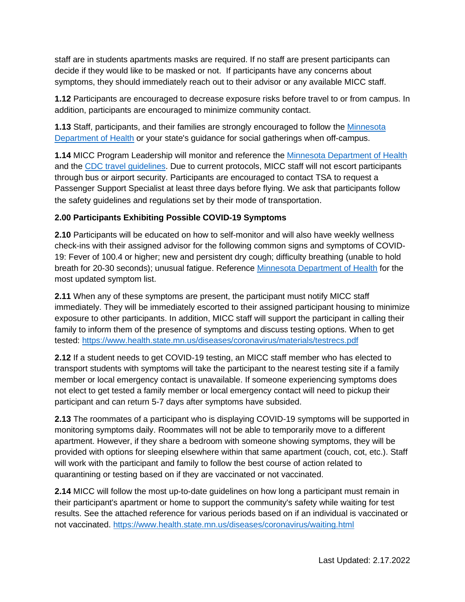staff are in students apartments masks are required. If no staff are present participants can decide if they would like to be masked or not. If participants have any concerns about symptoms, they should immediately reach out to their advisor or any available MICC staff.

**1.12** Participants are encouraged to decrease exposure risks before travel to or from campus. In addition, participants are encouraged to minimize community contact.

**1.13** Staff, participants, and their families are strongly encouraged to follow the [Min](https://www.health.state.mn.us/diseases/coronavirus/prevention.html)nesota Department of Health or your state's guidance for social gatherings when off-campus.

**1.14** MICC Program Leadership will monitor and reference the [Minnesota Department of Health](https://www.health.state.mn.us/diseases/coronavirus/prevention.html) and the [CDC travel guideline](https://www.cdc.gov/coronavirus/2019-ncov/travelers/travel-during-covid19.html)s. Due to current protocols, MICC staff will not escort participants through bus or airport security. Participants are encouraged to contact TSA to request a Passenger Support Specialist at least three days before flying. We ask that participants follow the safety guidelines and regulations set by their mode of transportation.

### **2.00 Participants Exhibiting Possible COVID-19 Symptoms**

**2.10** Participants will be educated on how to self-monitor and will also have weekly wellness check-ins with their assigned advisor for the following common signs and symptoms of COVID-19: Fever of 100.4 or higher; new and persistent dry cough; difficulty breathing (unable to hold breath for 20-30 seconds); unusual fatigue. Reference [Minnesota Department of Health](https://www.health.state.mn.us/diseases/coronavirus/basics.html#symptoms) for the most updated symptom list.

**2.11** When any of these symptoms are present, the participant must notify MICC staff immediately. They will be immediately escorted to their assigned participant housing to minimize exposure to other participants. In addition, MICC staff will support the participant in calling their family to inform them of the presence of symptoms and discuss testing options. When to get tested:<https://www.health.state.mn.us/diseases/coronavirus/materials/testrecs.pdf>

**2.12** If a student needs to get COVID-19 testing, an MICC staff member who has elected to transport students with symptoms will take the participant to the nearest testing site if a family member or local emergency contact is unavailable. If someone experiencing symptoms does not elect to get tested a family member or local emergency contact will need to pickup their participant and can return 5-7 days after symptoms have subsided.

**2.13** The roommates of a participant who is displaying COVID-19 symptoms will be supported in monitoring symptoms daily. Roommates will not be able to temporarily move to a different apartment. However, if they share a bedroom with someone showing symptoms, they will be provided with options for sleeping elsewhere within that same apartment (couch, cot, etc.). Staff will work with the participant and family to follow the best course of action related to quarantining or testing based on if they are vaccinated or not vaccinated.

**2.14** MICC will follow the most up-to-date guidelines on how long a participant must remain in their participant's apartment or home to support the community's safety while waiting for test results. See the attached reference for various periods based on if an individual is vaccinated or not vaccinated.<https://www.health.state.mn.us/diseases/coronavirus/waiting.html>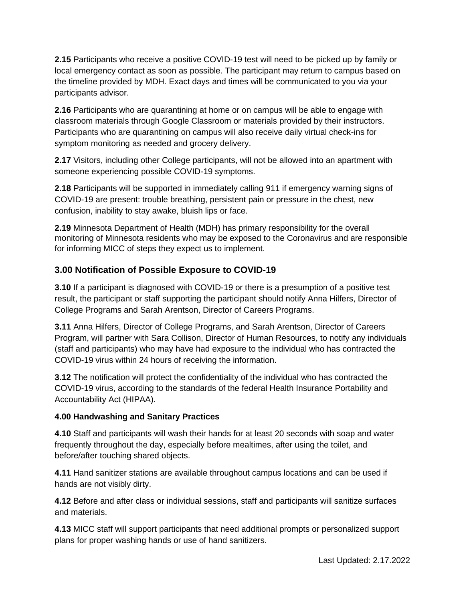**2.15** Participants who receive a positive COVID-19 test will need to be picked up by family or local emergency contact as soon as possible. The participant may return to campus based on the timeline provided by MDH. Exact days and times will be communicated to you via your participants advisor.

**2.16** Participants who are quarantining at home or on campus will be able to engage with classroom materials through Google Classroom or materials provided by their instructors. Participants who are quarantining on campus will also receive daily virtual check-ins for symptom monitoring as needed and grocery delivery.

**2.17** Visitors, including other College participants, will not be allowed into an apartment with someone experiencing possible COVID-19 symptoms.

**2.18** Participants will be supported in immediately calling 911 if emergency warning signs of COVID-19 are present: trouble breathing, persistent pain or pressure in the chest, new confusion, inability to stay awake, bluish lips or face.

**2.19** Minnesota Department of Health (MDH) has primary responsibility for the overall monitoring of Minnesota residents who may be exposed to the Coronavirus and are responsible for informing MICC of steps they expect us to implement.

# **3.00 Notification of Possible Exposure to COVID-19**

**3.10** If a participant is diagnosed with COVID-19 or there is a presumption of a positive test result, the participant or staff supporting the participant should notify Anna Hilfers, Director of College Programs and Sarah Arentson, Director of Careers Programs.

**3.11** Anna Hilfers, Director of College Programs, and Sarah Arentson, Director of Careers Program, will partner with Sara Collison, Director of Human Resources, to notify any individuals (staff and participants) who may have had exposure to the individual who has contracted the COVID-19 virus within 24 hours of receiving the information.

**3.12** The notification will protect the confidentiality of the individual who has contracted the COVID-19 virus, according to the standards of the federal Health Insurance Portability and Accountability Act (HIPAA).

### **4.00 Handwashing and Sanitary Practices**

**4.10** Staff and participants will wash their hands for at least 20 seconds with soap and water frequently throughout the day, especially before mealtimes, after using the toilet, and before/after touching shared objects.

**4.11** Hand sanitizer stations are available throughout campus locations and can be used if hands are not visibly dirty.

**4.12** Before and after class or individual sessions, staff and participants will sanitize surfaces and materials.

**4.13** MICC staff will support participants that need additional prompts or personalized support plans for proper washing hands or use of hand sanitizers.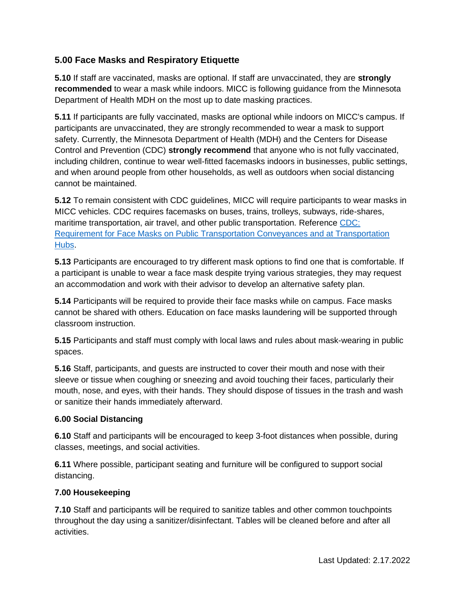# **5.00 Face Masks and Respiratory Etiquette**

**5.10** If staff are vaccinated, masks are optional. If staff are unvaccinated, they are **strongly recommended** to wear a mask while indoors. MICC is following guidance from the Minnesota Department of Health MDH on the most up to date masking practices.

**5.11** If participants are fully vaccinated, masks are optional while indoors on MICC's campus. If participants are unvaccinated, they are strongly recommended to wear a mask to support safety. Currently, the Minnesota Department of Health (MDH) and the Centers for Disease Control and Prevention (CDC) **strongly recommend** that anyone who is not fully vaccinated, including children, continue to wear well-fitted facemasks indoors in businesses, public settings, and when around people from other households, as well as outdoors when social distancing cannot be maintained.

**5.12** To remain consistent with CDC guidelines, MICC will require participants to wear masks in MICC vehicles. CDC requires facemasks on buses, trains, trolleys, subways, ride-shares, maritime transportation, air travel, and other public transportation. Reference [CDC:](https://www.cdc.gov/coronavirus/2019-ncov/travelers/face-masks-public-transportation.html)  [Requ](https://www.cdc.gov/coronavirus/2019-ncov/travelers/face-masks-public-transportation.html)irement for Face Masks on Public Transportation Conveyances and at Transportation Hubs.

**5.13** Participants are encouraged to try different mask options to find one that is comfortable. If a participant is unable to wear a face mask despite trying various strategies, they may request an accommodation and work with their advisor to develop an alternative safety plan.

**5.14** Participants will be required to provide their face masks while on campus. Face masks cannot be shared with others. Education on face masks laundering will be supported through classroom instruction.

**5.15** Participants and staff must comply with local laws and rules about mask-wearing in public spaces.

**5.16** Staff, participants, and guests are instructed to cover their mouth and nose with their sleeve or tissue when coughing or sneezing and avoid touching their faces, particularly their mouth, nose, and eyes, with their hands. They should dispose of tissues in the trash and wash or sanitize their hands immediately afterward.

### **6.00 Social Distancing**

**6.10** Staff and participants will be encouraged to keep 3-foot distances when possible, during classes, meetings, and social activities.

**6.11** Where possible, participant seating and furniture will be configured to support social distancing.

#### **7.00 Housekeeping**

**7.10** Staff and participants will be required to sanitize tables and other common touchpoints throughout the day using a sanitizer/disinfectant. Tables will be cleaned before and after all activities.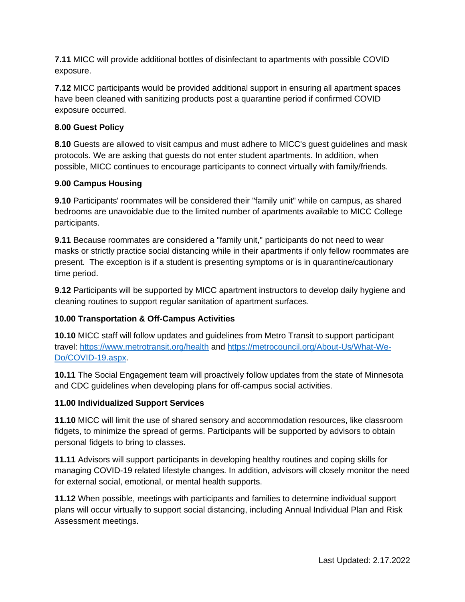**7.11** MICC will provide additional bottles of disinfectant to apartments with possible COVID exposure.

**7.12** MICC participants would be provided additional support in ensuring all apartment spaces have been cleaned with sanitizing products post a quarantine period if confirmed COVID exposure occurred.

#### **8.00 Guest Policy**

**8.10** Guests are allowed to visit campus and must adhere to MICC's guest guidelines and mask protocols. We are asking that guests do not enter student apartments. In addition, when possible, MICC continues to encourage participants to connect virtually with family/friends.

#### **9.00 Campus Housing**

**9.10** Participants' roommates will be considered their "family unit" while on campus, as shared bedrooms are unavoidable due to the limited number of apartments available to MICC College participants.

**9.11** Because roommates are considered a "family unit," participants do not need to wear masks or strictly practice social distancing while in their apartments if only fellow roommates are present. The exception is if a student is presenting symptoms or is in quarantine/cautionary time period.

**9.12** Participants will be supported by MICC apartment instructors to develop daily hygiene and cleaning routines to support regular sanitation of apartment surfaces.

### **10.00 Transportation & Off-Campus Activities**

**10.10** MICC staff will follow updates and guidelines from Metro Transit to support participant travel: <https://www.metrotransit.org/health> and [https://metrocouncil.org/About-Us/What-We-](https://metrocouncil.org/About-Us/What-We-Do/COVID-19.aspx)[Do/COVID-19.aspx.](https://metrocouncil.org/About-Us/What-We-Do/COVID-19.aspx)

**10.11** The Social Engagement team will proactively follow updates from the state of Minnesota and CDC guidelines when developing plans for off-campus social activities.

### **11.00 Individualized Support Services**

**11.10** MICC will limit the use of shared sensory and accommodation resources, like classroom fidgets, to minimize the spread of germs. Participants will be supported by advisors to obtain personal fidgets to bring to classes.

**11.11** Advisors will support participants in developing healthy routines and coping skills for managing COVID-19 related lifestyle changes. In addition, advisors will closely monitor the need for external social, emotional, or mental health supports.

**11.12** When possible, meetings with participants and families to determine individual support plans will occur virtually to support social distancing, including Annual Individual Plan and Risk Assessment meetings.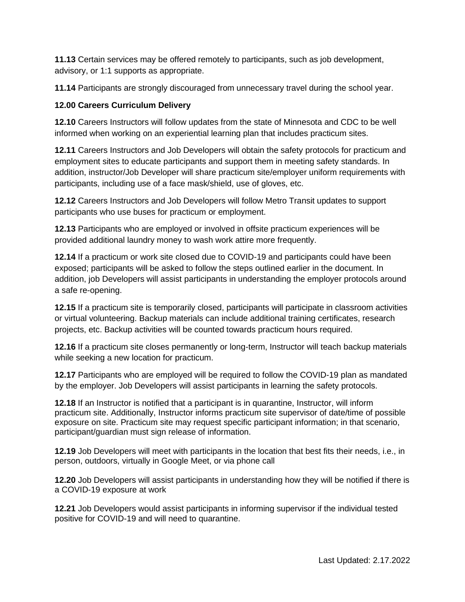**11.13** Certain services may be offered remotely to participants, such as job development, advisory, or 1:1 supports as appropriate.

**11.14** Participants are strongly discouraged from unnecessary travel during the school year.

#### **12.00 Careers Curriculum Delivery**

**12.10** Careers Instructors will follow updates from the state of Minnesota and CDC to be well informed when working on an experiential learning plan that includes practicum sites.

**12.11** Careers Instructors and Job Developers will obtain the safety protocols for practicum and employment sites to educate participants and support them in meeting safety standards. In addition, instructor/Job Developer will share practicum site/employer uniform requirements with participants, including use of a face mask/shield, use of gloves, etc.

**12.12** Careers Instructors and Job Developers will follow Metro Transit updates to support participants who use buses for practicum or employment.

**12.13** Participants who are employed or involved in offsite practicum experiences will be provided additional laundry money to wash work attire more frequently.

**12.14** If a practicum or work site closed due to COVID-19 and participants could have been exposed; participants will be asked to follow the steps outlined earlier in the document. In addition, job Developers will assist participants in understanding the employer protocols around a safe re-opening.

**12.15** If a practicum site is temporarily closed, participants will participate in classroom activities or virtual volunteering. Backup materials can include additional training certificates, research projects, etc. Backup activities will be counted towards practicum hours required.

**12.16** If a practicum site closes permanently or long-term, Instructor will teach backup materials while seeking a new location for practicum.

**12.17** Participants who are employed will be required to follow the COVID-19 plan as mandated by the employer. Job Developers will assist participants in learning the safety protocols.

**12.18** If an Instructor is notified that a participant is in quarantine, Instructor, will inform practicum site. Additionally, Instructor informs practicum site supervisor of date/time of possible exposure on site. Practicum site may request specific participant information; in that scenario, participant/guardian must sign release of information.

**12.19** Job Developers will meet with participants in the location that best fits their needs, i.e., in person, outdoors, virtually in Google Meet, or via phone call

**12.20** Job Developers will assist participants in understanding how they will be notified if there is a COVID-19 exposure at work

**12.21** Job Developers would assist participants in informing supervisor if the individual tested positive for COVID-19 and will need to quarantine.